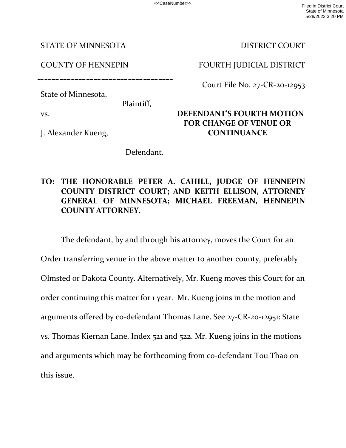<<CaseNumber>> Filed in District Court State of Minnesota 5/28/2022 3:20 PM

STATE OF MINNESOTA

COUNTY OF HENNEPIN

State of Minnesota,

Plaintiff,

vs.

J. Alexander Kueng,

DISTRICT COURT

FOURTH JUDICIAL DISTRICT

Court File No. 27-CR-20-12953

## **DEFENDANT'S FOURTH MOTION FOR CHANGE OF VENUE OR CONTINUANCE**

Defendant.

## **TO: THE HONORABLE PETER A. CAHILL, JUDGE OF HENNEPIN COUNTY DISTRICT COURT; AND KEITH ELLISON, ATTORNEY GENERAL OF MINNESOTA; MICHAEL FREEMAN, HENNEPIN COUNTY ATTORNEY.**

 The defendant, by and through his attorney, moves the Court for an Order transferring venue in the above matter to another county, preferably Olmsted or Dakota County. Alternatively, Mr. Kueng moves this Court for an order continuing this matter for 1 year. Mr. Kueng joins in the motion and arguments offered by co-defendant Thomas Lane. See 27-CR-20-12951: State vs. Thomas Kiernan Lane, Index 521 and 522. Mr. Kueng joins in the motions and arguments which may be forthcoming from co-defendant Tou Thao on this issue.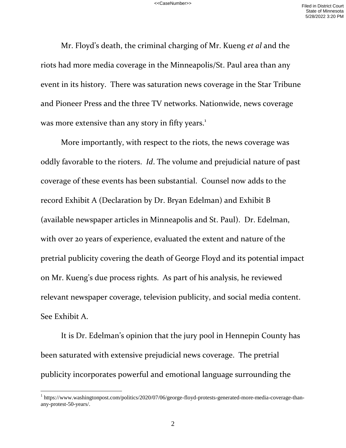Mr. Floyd's death, the criminal charging of Mr. Kueng *et al* and the riots had more media coverage in the Minneapolis/St. Paul area than any event in its history. There was saturation news coverage in the Star Tribune and Pioneer Press and the three TV networks. Nationwide, news coverage was more extensive than any story in fifty years.<sup>1</sup>

 More importantly, with respect to the riots, the news coverage was oddly favorable to the rioters. *Id*. The volume and prejudicial nature of past coverage of these events has been substantial. Counsel now adds to the record Exhibit A (Declaration by Dr. Bryan Edelman) and Exhibit B (available newspaper articles in Minneapolis and St. Paul). Dr. Edelman, with over 20 years of experience, evaluated the extent and nature of the pretrial publicity covering the death of George Floyd and its potential impact on Mr. Kueng's due process rights. As part of his analysis, he reviewed relevant newspaper coverage, television publicity, and social media content. See Exhibit A.

It is Dr. Edelman's opinion that the jury pool in Hennepin County has been saturated with extensive prejudicial news coverage. The pretrial publicity incorporates powerful and emotional language surrounding the

 $\overline{a}$ 

<sup>&</sup>lt;sup>1</sup> https://www.washingtonpost.com/politics/2020/07/06/george-floyd-protests-generated-more-media-coverage-thanany-protest-50-years/.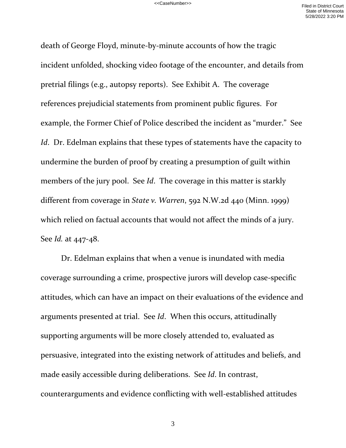death of George Floyd, minute-by-minute accounts of how the tragic incident unfolded, shocking video footage of the encounter, and details from pretrial filings (e.g., autopsy reports). See Exhibit A. The coverage references prejudicial statements from prominent public figures. For example, the Former Chief of Police described the incident as "murder." See *Id*. Dr. Edelman explains that these types of statements have the capacity to undermine the burden of proof by creating a presumption of guilt within members of the jury pool. See *Id*. The coverage in this matter is starkly different from coverage in *State v. Warren*, 592 N.W.2d 440 (Minn. 1999) which relied on factual accounts that would not affect the minds of a jury. See *Id.* at 447-48.

 Dr. Edelman explains that when a venue is inundated with media coverage surrounding a crime, prospective jurors will develop case-specific attitudes, which can have an impact on their evaluations of the evidence and arguments presented at trial. See *Id*. When this occurs, attitudinally supporting arguments will be more closely attended to, evaluated as persuasive, integrated into the existing network of attitudes and beliefs, and made easily accessible during deliberations. See *Id*. In contrast, counterarguments and evidence conflicting with well-established attitudes

3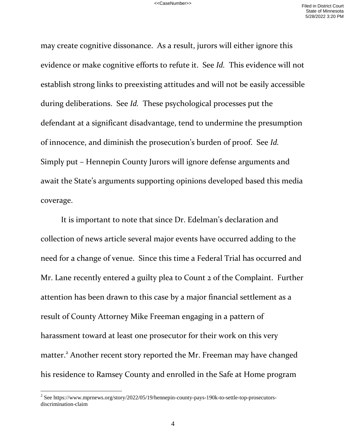may create cognitive dissonance. As a result, jurors will either ignore this evidence or make cognitive efforts to refute it. See *Id.* This evidence will not establish strong links to preexisting attitudes and will not be easily accessible during deliberations. See *Id.* These psychological processes put the defendant at a significant disadvantage, tend to undermine the presumption of innocence, and diminish the prosecution's burden of proof. See *Id.*  Simply put – Hennepin County Jurors will ignore defense arguments and await the State's arguments supporting opinions developed based this media coverage.

It is important to note that since Dr. Edelman's declaration and collection of news article several major events have occurred adding to the need for a change of venue. Since this time a Federal Trial has occurred and Mr. Lane recently entered a guilty plea to Count 2 of the Complaint. Further attention has been drawn to this case by a major financial settlement as a result of County Attorney Mike Freeman engaging in a pattern of harassment toward at least one prosecutor for their work on this very matter.<sup>2</sup> Another recent story reported the Mr. Freeman may have changed his residence to Ramsey County and enrolled in the Safe at Home program

 $\overline{a}$ 

<sup>&</sup>lt;sup>2</sup> See https://www.mprnews.org/story/2022/05/19/hennepin-county-pays-190k-to-settle-top-prosecutorsdiscrimination-claim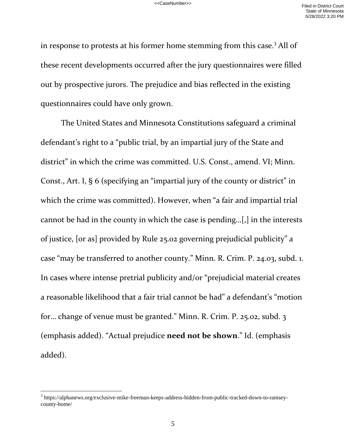in response to protests at his former home stemming from this case.<sup>3</sup> All of these recent developments occurred after the jury questionnaires were filled out by prospective jurors. The prejudice and bias reflected in the existing questionnaires could have only grown.

 The United States and Minnesota Constitutions safeguard a criminal defendant's right to a "public trial, by an impartial jury of the State and district" in which the crime was committed. U.S. Const., amend. VI; Minn. Const., Art. I, § 6 (specifying an "impartial jury of the county or district" in which the crime was committed). However, when "a fair and impartial trial cannot be had in the county in which the case is pending…[,] in the interests of justice, [or as] provided by Rule 25.02 governing prejudicial publicity" a case "may be transferred to another county." Minn. R. Crim. P. 24.03, subd. 1. In cases where intense pretrial publicity and/or "prejudicial material creates a reasonable likelihood that a fair trial cannot be had" a defendant's "motion for… change of venue must be granted." Minn. R. Crim. P. 25.02, subd. 3 (emphasis added). "Actual prejudice **need not be shown**." Id. (emphasis added).

 $\overline{a}$ 

 $3$  https://alphanews.org/exclusive-mike-freeman-keeps-address-hidden-from-public-tracked-down-to-ramseycounty-home/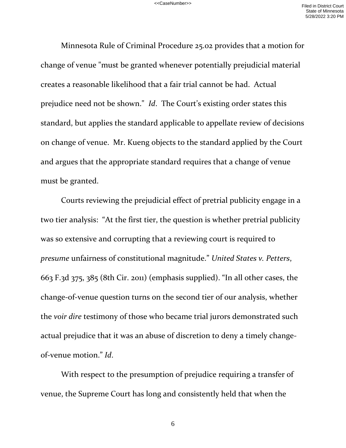Minnesota Rule of Criminal Procedure 25.02 provides that a motion for change of venue "must be granted whenever potentially prejudicial material creates a reasonable likelihood that a fair trial cannot be had. Actual prejudice need not be shown." *Id*. The Court's existing order states this standard, but applies the standard applicable to appellate review of decisions on change of venue. Mr. Kueng objects to the standard applied by the Court and argues that the appropriate standard requires that a change of venue must be granted.

Courts reviewing the prejudicial effect of pretrial publicity engage in a two tier analysis: "At the first tier, the question is whether pretrial publicity was so extensive and corrupting that a reviewing court is required to *presume* unfairness of constitutional magnitude." *United States v. Petters*, 663 F.3d 375, 385 (8th Cir. 2011) (emphasis supplied). "In all other cases, the change-of-venue question turns on the second tier of our analysis, whether the *voir dire* testimony of those who became trial jurors demonstrated such actual prejudice that it was an abuse of discretion to deny a timely changeof-venue motion." *Id*.

With respect to the presumption of prejudice requiring a transfer of venue, the Supreme Court has long and consistently held that when the

6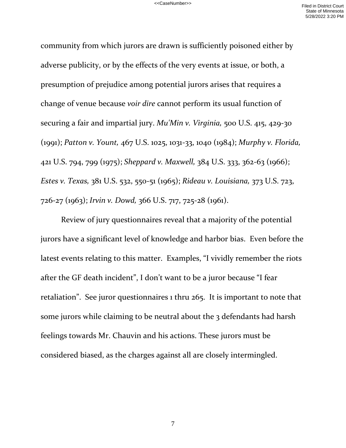community from which jurors are drawn is sufficiently poisoned either by adverse publicity, or by the effects of the very events at issue, or both, a presumption of prejudice among potential jurors arises that requires a change of venue because *voir dire* cannot perform its usual function of securing a fair and impartial jury. *Mu'Min v. Virginia,* 500 U.S. 415, 429-30 (1991); *Patton v. Yount,* 467 U.S. 1025, 1031-33, 1040 (1984); *Murphy v. Florida,* 421 U.S. 794, 799 (1975); *Sheppard v. Maxwell,* 384 U.S. 333, 362-63 (1966); *Estes v. Texas,* 381 U.S. 532, 550-51 (1965); *Rideau v. Louisiana,* 373 U.S. 723, 726-27 (1963); *Irvin v. Dowd,* 366 U.S. 717, 725-28 (1961).

Review of jury questionnaires reveal that a majority of the potential jurors have a significant level of knowledge and harbor bias. Even before the latest events relating to this matter. Examples, "I vividly remember the riots after the GF death incident", I don't want to be a juror because "I fear retaliation". See juror questionnaires 1 thru 265. It is important to note that some jurors while claiming to be neutral about the 3 defendants had harsh feelings towards Mr. Chauvin and his actions. These jurors must be considered biased, as the charges against all are closely intermingled.

7